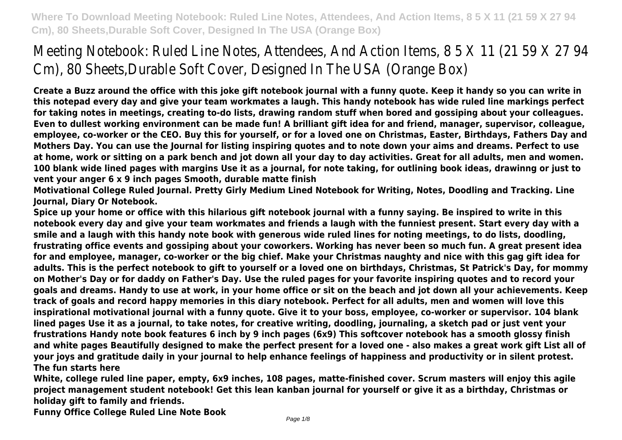**Create a Buzz around the office with this joke gift notebook journal with a funny quote. Keep it handy so you can write in this notepad every day and give your team workmates a laugh. This handy notebook has wide ruled line markings perfect for taking notes in meetings, creating to-do lists, drawing random stuff when bored and gossiping about your colleagues. Even to dullest working environment can be made fun! A brilliant gift idea for and friend, manager, supervisor, colleague, employee, co-worker or the CEO. Buy this for yourself, or for a loved one on Christmas, Easter, Birthdays, Fathers Day and Mothers Day. You can use the Journal for listing inspiring quotes and to note down your aims and dreams. Perfect to use at home, work or sitting on a park bench and jot down all your day to day activities. Great for all adults, men and women. 100 blank wide lined pages with margins Use it as a journal, for note taking, for outlining book ideas, drawinng or just to vent your anger 6 x 9 inch pages Smooth, durable matte finish**

**Motivational College Ruled Journal. Pretty Girly Medium Lined Notebook for Writing, Notes, Doodling and Tracking. Line Journal, Diary Or Notebook.**

**Spice up your home or office with this hilarious gift notebook journal with a funny saying. Be inspired to write in this notebook every day and give your team workmates and friends a laugh with the funniest present. Start every day with a smile and a laugh with this handy note book with generous wide ruled lines for noting meetings, to do lists, doodling, frustrating office events and gossiping about your coworkers. Working has never been so much fun. A great present idea for and employee, manager, co-worker or the big chief. Make your Christmas naughty and nice with this gag gift idea for adults. This is the perfect notebook to gift to yourself or a loved one on birthdays, Christmas, St Patrick's Day, for mommy on Mother's Day or for daddy on Father's Day. Use the ruled pages for your favorite inspiring quotes and to record your goals and dreams. Handy to use at work, in your home office or sit on the beach and jot down all your achievements. Keep track of goals and record happy memories in this diary notebook. Perfect for all adults, men and women will love this inspirational motivational journal with a funny quote. Give it to your boss, employee, co-worker or supervisor. 104 blank lined pages Use it as a journal, to take notes, for creative writing, doodling, journaling, a sketch pad or just vent your frustrations Handy note book features 6 inch by 9 inch pages (6x9) This softcover notebook has a smooth glossy finish and white pages Beautifully designed to make the perfect present for a loved one - also makes a great work gift List all of your joys and gratitude daily in your journal to help enhance feelings of happiness and productivity or in silent protest. The fun starts here**

**White, college ruled line paper, empty, 6x9 inches, 108 pages, matte-finished cover. Scrum masters will enjoy this agile project management student notebook! Get this lean kanban journal for yourself or give it as a birthday, Christmas or holiday gift to family and friends.**

**Funny Office College Ruled Line Note Book**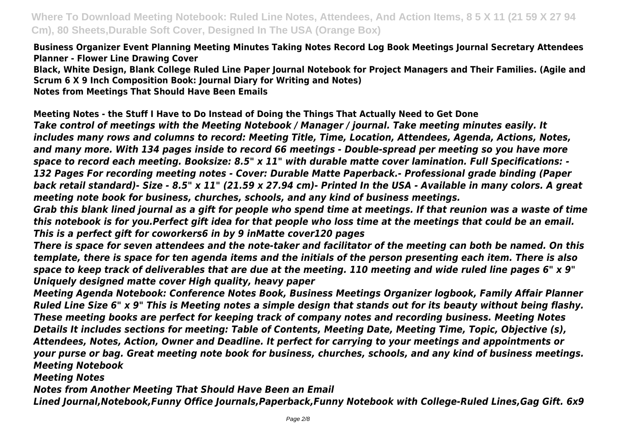**Business Organizer Event Planning Meeting Minutes Taking Notes Record Log Book Meetings Journal Secretary Attendees Planner - Flower Line Drawing Cover**

**Black, White Design, Blank College Ruled Line Paper Journal Notebook for Project Managers and Their Families. (Agile and Scrum 6 X 9 Inch Composition Book: Journal Diary for Writing and Notes)**

**Notes from Meetings That Should Have Been Emails**

**Meeting Notes - the Stuff I Have to Do Instead of Doing the Things That Actually Need to Get Done**

*Take control of meetings with the Meeting Notebook / Manager / journal. Take meeting minutes easily. It includes many rows and columns to record: Meeting Title, Time, Location, Attendees, Agenda, Actions, Notes, and many more. With 134 pages inside to record 66 meetings - Double-spread per meeting so you have more space to record each meeting. Booksize: 8.5" x 11" with durable matte cover lamination. Full Specifications: - 132 Pages For recording meeting notes - Cover: Durable Matte Paperback.- Professional grade binding (Paper back retail standard)- Size - 8.5" x 11" (21.59 x 27.94 cm)- Printed In the USA - Available in many colors. A great meeting note book for business, churches, schools, and any kind of business meetings.*

*Grab this blank lined journal as a gift for people who spend time at meetings. If that reunion was a waste of time this notebook is for you.Perfect gift idea for that people who loss time at the meetings that could be an email. This is a perfect gift for coworkers6 in by 9 inMatte cover120 pages*

*There is space for seven attendees and the note-taker and facilitator of the meeting can both be named. On this template, there is space for ten agenda items and the initials of the person presenting each item. There is also space to keep track of deliverables that are due at the meeting. 110 meeting and wide ruled line pages 6" x 9" Uniquely designed matte cover High quality, heavy paper*

*Meeting Agenda Notebook: Conference Notes Book, Business Meetings Organizer logbook, Family Affair Planner Ruled Line Size 6" x 9" This is Meeting notes a simple design that stands out for its beauty without being flashy. These meeting books are perfect for keeping track of company notes and recording business. Meeting Notes Details It includes sections for meeting: Table of Contents, Meeting Date, Meeting Time, Topic, Objective (s), Attendees, Notes, Action, Owner and Deadline. It perfect for carrying to your meetings and appointments or your purse or bag. Great meeting note book for business, churches, schools, and any kind of business meetings. Meeting Notebook*

*Meeting Notes*

*Notes from Another Meeting That Should Have Been an Email*

*Lined Journal,Notebook,Funny Office Journals,Paperback,Funny Notebook with College-Ruled Lines,Gag Gift. 6x9*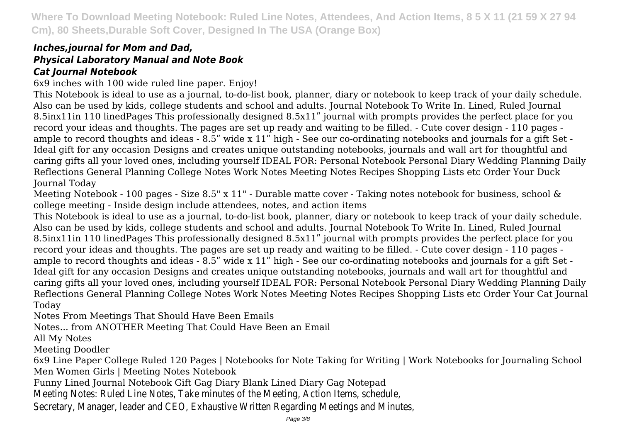## *Inches,journal for Mom and Dad, Physical Laboratory Manual and Note Book Cat Journal Notebook*

6x9 inches with 100 wide ruled line paper. Enjoy!

This Notebook is ideal to use as a journal, to-do-list book, planner, diary or notebook to keep track of your daily schedule. Also can be used by kids, college students and school and adults. Journal Notebook To Write In. Lined, Ruled Journal 8.5inx11in 110 linedPages This professionally designed 8.5x11" journal with prompts provides the perfect place for you record your ideas and thoughts. The pages are set up ready and waiting to be filled. - Cute cover design - 110 pages ample to record thoughts and ideas - 8.5" wide x 11" high - See our co-ordinating notebooks and journals for a gift Set -Ideal gift for any occasion Designs and creates unique outstanding notebooks, journals and wall art for thoughtful and caring gifts all your loved ones, including yourself IDEAL FOR: Personal Notebook Personal Diary Wedding Planning Daily Reflections General Planning College Notes Work Notes Meeting Notes Recipes Shopping Lists etc Order Your Duck Journal Today

Meeting Notebook - 100 pages - Size 8.5" x 11" - Durable matte cover - Taking notes notebook for business, school & college meeting - Inside design include attendees, notes, and action items

This Notebook is ideal to use as a journal, to-do-list book, planner, diary or notebook to keep track of your daily schedule. Also can be used by kids, college students and school and adults. Journal Notebook To Write In. Lined, Ruled Journal 8.5inx11in 110 linedPages This professionally designed 8.5x11" journal with prompts provides the perfect place for you record your ideas and thoughts. The pages are set up ready and waiting to be filled. - Cute cover design - 110 pages ample to record thoughts and ideas - 8.5" wide x 11" high - See our co-ordinating notebooks and journals for a gift Set -Ideal gift for any occasion Designs and creates unique outstanding notebooks, journals and wall art for thoughtful and caring gifts all your loved ones, including yourself IDEAL FOR: Personal Notebook Personal Diary Wedding Planning Daily Reflections General Planning College Notes Work Notes Meeting Notes Recipes Shopping Lists etc Order Your Cat Journal Today

Notes From Meetings That Should Have Been Emails

Notes... from ANOTHER Meeting That Could Have Been an Email

All My Notes

Meeting Doodler

6x9 Line Paper College Ruled 120 Pages | Notebooks for Note Taking for Writing | Work Notebooks for Journaling School Men Women Girls | Meeting Notes Notebook

Funny Lined Journal Notebook Gift Gag Diary Blank Lined Diary Gag Notepad

Meeting Notes: Ruled Line Notes, Take minutes of the Meeting, Action Items, schedule,

Secretary, Manager, leader and CEO, Exhaustive Written Regarding Meetings and Minutes,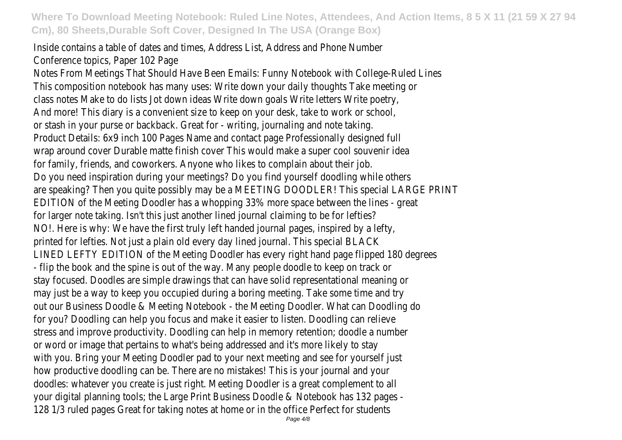Inside contains a table of dates and times, Address List, Address and Phone Number Conference topics, Paper 102 Page

Notes From Meetings That Should Have Been Emails: Funny Notebook with College-Ruled Lines This composition notebook has many uses: Write down your daily thoughts Take meeting or class notes Make to do lists Jot down ideas Write down goals Write letters Write poetry, And more! This diary is a convenient size to keep on your desk, take to work or school, or stash in your purse or backback. Great for - writing, journaling and note taking. Product Details: 6x9 inch 100 Pages Name and contact page Professionally designed full wrap around cover Durable matte finish cover This would make a super cool souvenir idea for family, friends, and coworkers. Anyone who likes to complain about their job. Do you need inspiration during your meetings? Do you find yourself doodling while others are speaking? Then you quite possibly may be a MEETING DOODLER! This special LARGE PRINT EDITION of the Meeting Doodler has a whopping 33% more space between the lines - great for larger note taking. Isn't this just another lined journal claiming to be for lefties? NO!. Here is why: We have the first truly left handed journal pages, inspired by a lefty, printed for lefties. Not just a plain old every day lined journal. This special BLACK LINED LEFTY EDITION of the Meeting Doodler has every right hand page flipped 180 degrees - flip the book and the spine is out of the way. Many people doodle to keep on track or stay focused. Doodles are simple drawings that can have solid representational meaning or may just be a way to keep you occupied during a boring meeting. Take some time and try out our Business Doodle & Meeting Notebook - the Meeting Doodler. What can Doodling do for you? Doodling can help you focus and make it easier to listen. Doodling can relieve stress and improve productivity. Doodling can help in memory retention; doodle a number or word or image that pertains to what's being addressed and it's more likely to stay with you. Bring your Meeting Doodler pad to your next meeting and see for yourself just how productive doodling can be. There are no mistakes! This is your journal and your doodles: whatever you create is just right. Meeting Doodler is a great complement to all your digital planning tools; the Large Print Business Doodle & Notebook has 132 pages - 128 1/3 ruled pages Great for taking notes at home or in the office Perfect for students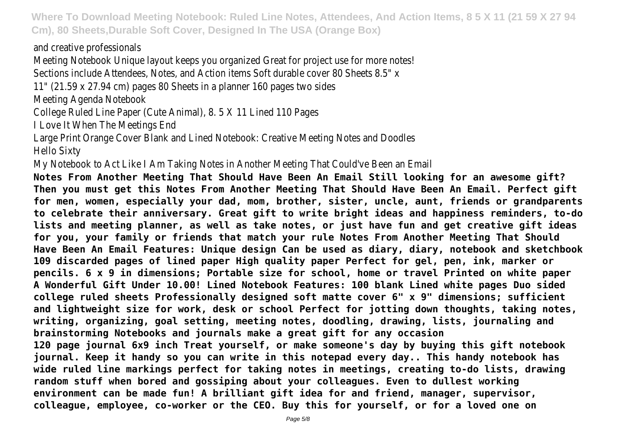and creative professionals

Meeting Notebook Unique layout keeps you organized Great for project use for more notes!

Sections include Attendees, Notes, and Action items Soft durable cover 80 Sheets 8.5" x

11" (21.59 x 27.94 cm) pages 80 Sheets in a planner 160 pages two sides

Meeting Agenda Notebook

College Ruled Line Paper (Cute Animal), 8. 5 X 11 Lined 110 Pages

I Love It When The Meetings End

Large Print Orange Cover Blank and Lined Notebook: Creative Meeting Notes and Doodles Hello Sixty

My Notebook to Act Like I Am Taking Notes in Another Meeting That Could've Been an Email

**Notes From Another Meeting That Should Have Been An Email Still looking for an awesome gift? Then you must get this Notes From Another Meeting That Should Have Been An Email. Perfect gift for men, women, especially your dad, mom, brother, sister, uncle, aunt, friends or grandparents to celebrate their anniversary. Great gift to write bright ideas and happiness reminders, to-do lists and meeting planner, as well as take notes, or just have fun and get creative gift ideas for you, your family or friends that match your rule Notes From Another Meeting That Should Have Been An Email Features: Unique design Can be used as diary, diary, notebook and sketchbook 109 discarded pages of lined paper High quality paper Perfect for gel, pen, ink, marker or pencils. 6 x 9 in dimensions; Portable size for school, home or travel Printed on white paper A Wonderful Gift Under 10.00! Lined Notebook Features: 100 blank Lined white pages Duo sided college ruled sheets Professionally designed soft matte cover 6" x 9" dimensions; sufficient and lightweight size for work, desk or school Perfect for jotting down thoughts, taking notes, writing, organizing, goal setting, meeting notes, doodling, drawing, lists, journaling and brainstorming Notebooks and journals make a great gift for any occasion 120 page journal 6x9 inch Treat yourself, or make someone's day by buying this gift notebook journal. Keep it handy so you can write in this notepad every day.. This handy notebook has wide ruled line markings perfect for taking notes in meetings, creating to-do lists, drawing random stuff when bored and gossiping about your colleagues. Even to dullest working environment can be made fun! A brilliant gift idea for and friend, manager, supervisor, colleague, employee, co-worker or the CEO. Buy this for yourself, or for a loved one on**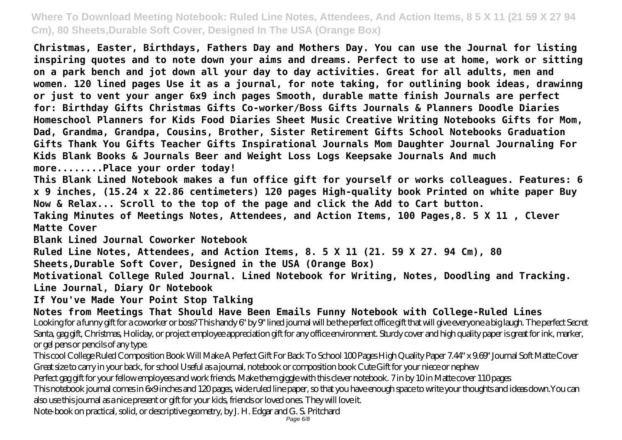**Christmas, Easter, Birthdays, Fathers Day and Mothers Day. You can use the Journal for listing inspiring quotes and to note down your aims and dreams. Perfect to use at home, work or sitting on a park bench and jot down all your day to day activities. Great for all adults, men and women. 120 lined pages Use it as a journal, for note taking, for outlining book ideas, drawinng or just to vent your anger 6x9 inch pages Smooth, durable matte finish Journals are perfect for: Birthday Gifts Christmas Gifts Co-worker/Boss Gifts Journals & Planners Doodle Diaries Homeschool Planners for Kids Food Diaries Sheet Music Creative Writing Notebooks Gifts for Mom, Dad, Grandma, Grandpa, Cousins, Brother, Sister Retirement Gifts School Notebooks Graduation Gifts Thank You Gifts Teacher Gifts Inspirational Journals Mom Daughter Journal Journaling For Kids Blank Books & Journals Beer and Weight Loss Logs Keepsake Journals And much more........Place your order today!**

**This Blank Lined Notebook makes a fun office gift for yourself or works colleagues. Features: 6 x 9 inches, (15.24 x 22.86 centimeters) 120 pages High-quality book Printed on white paper Buy Now & Relax... Scroll to the top of the page and click the Add to Cart button.**

**Taking Minutes of Meetings Notes, Attendees, and Action Items, 100 Pages,8. 5 X 11 , Clever Matte Cover**

**Blank Lined Journal Coworker Notebook**

**Ruled Line Notes, Attendees, and Action Items, 8. 5 X 11 (21. 59 X 27. 94 Cm), 80**

**Sheets,Durable Soft Cover, Designed in the USA (Orange Box)**

**Motivational College Ruled Journal. Lined Notebook for Writing, Notes, Doodling and Tracking. Line Journal, Diary Or Notebook**

**If You've Made Your Point Stop Talking**

**Notes from Meetings That Should Have Been Emails Funny Notebook with College-Ruled Lines** Looking for a funny gift for a coworker or boss? This handy 6" by 9" lined journal will be the perfect office gift that will give everyone a big laugh. The perfect Secret Santa, gag gift, Christmas, Holiday, or project employee appreciation gift for any office environment. Sturdy cover and high quality paper is great for ink, marker, or gel pens or pencils of any type.

This cool College Ruled Composition Book Will Make A Perfect Gift For Back To School 100 Pages High Quality Paper 7.44" x 9.69" Journal Soft Matte Cover Great size to carry in your back, for school Useful as a journal, notebook or composition book Cute Gift for your niece or nephew

Perfect gag gift for your fellow employees and work friends. Make them giggle with this clever notebook. 7 in by 10 in Matte cover 110 pages

This notebook journal comes in 6x9 inches and 120 pages, wide ruled line paper, so that you have enough space to write your thoughts and ideas down.You can also use this journal as a nice present or gift for your kids, friends or loved ones. They will love it.

Note-book on practical, solid, or descriptive geometry, by J. H. Edgar and G. S. Pritchard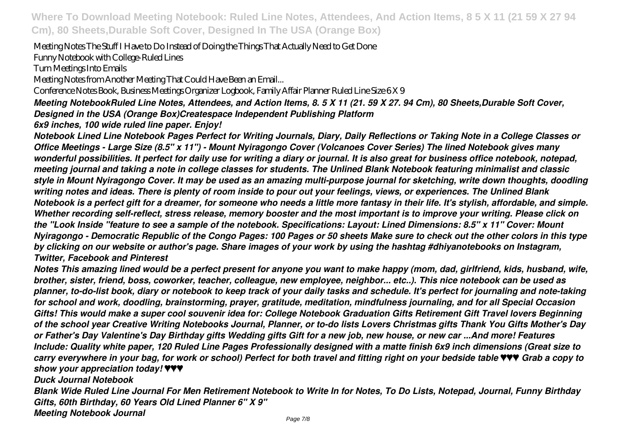Meeting Notes The Stuff I Have to Do Instead of Doing the Things That Actually Need to Get Done

Funny Notebook with College-Ruled Lines

Turn Meetings Into Emails

Meeting Notes from Another Meeting That Could Have Been an Email...

Conference Notes Book, Business Meetings Organizer Logbook, Family Affair Planner Ruled Line Size 6 X 9

*Meeting NotebookRuled Line Notes, Attendees, and Action Items, 8. 5 X 11 (21. 59 X 27. 94 Cm), 80 Sheets,Durable Soft Cover, Designed in the USA (Orange Box)Createspace Independent Publishing Platform*

*6x9 inches, 100 wide ruled line paper. Enjoy!*

*Notebook Lined Line Notebook Pages Perfect for Writing Journals, Diary, Daily Reflections or Taking Note in a College Classes or Office Meetings - Large Size (8.5" x 11") - Mount Nyiragongo Cover (Volcanoes Cover Series) The lined Notebook gives many wonderful possibilities. It perfect for daily use for writing a diary or journal. It is also great for business office notebook, notepad, meeting journal and taking a note in college classes for students. The Unlined Blank Notebook featuring minimalist and classic style in Mount Nyiragongo Cover. It may be used as an amazing multi-purpose journal for sketching, write down thoughts, doodling writing notes and ideas. There is plenty of room inside to pour out your feelings, views, or experiences. The Unlined Blank Notebook is a perfect gift for a dreamer, for someone who needs a little more fantasy in their life. It's stylish, affordable, and simple. Whether recording self-reflect, stress release, memory booster and the most important is to improve your writing. Please click on the "Look Inside "feature to see a sample of the notebook. Specifications: Layout: Lined Dimensions: 8.5" x 11" Cover: Mount Nyiragongo - Democratic Republic of the Congo Pages: 100 Pages or 50 sheets Make sure to check out the other colors in this type by clicking on our website or author's page. Share images of your work by using the hashtag #dhiyanotebooks on Instagram, Twitter, Facebook and Pinterest*

*Notes This amazing lined would be a perfect present for anyone you want to make happy (mom, dad, girlfriend, kids, husband, wife, brother, sister, friend, boss, coworker, teacher, colleague, new employee, neighbor... etc..). This nice notebook can be used as planner, to-do-list book, diary or notebook to keep track of your daily tasks and schedule. It's perfect for journaling and note-taking for school and work, doodling, brainstorming, prayer, gratitude, meditation, mindfulness journaling, and for all Special Occasion Gifts! This would make a super cool souvenir idea for: College Notebook Graduation Gifts Retirement Gift Travel lovers Beginning of the school year Creative Writing Notebooks Journal, Planner, or to-do lists Lovers Christmas gifts Thank You Gifts Mother's Day or Father's Day Valentine's Day Birthday gifts Wedding gifts Gift for a new job, new house, or new car ...And more! Features Include: Quality white paper, 120 Ruled Line Pages Professionally designed with a matte finish 6x9 inch dimensions (Great size to carry everywhere in your bag, for work or school) Perfect for both travel and fitting right on your bedside table ♥♥♥ Grab a copy to show your appreciation today! ♥♥♥*

*Duck Journal Notebook*

*Blank Wide Ruled Line Journal For Men Retirement Notebook to Write In for Notes, To Do Lists, Notepad, Journal, Funny Birthday Gifts, 60th Birthday, 60 Years Old Lined Planner 6" X 9" Meeting Notebook Journal*